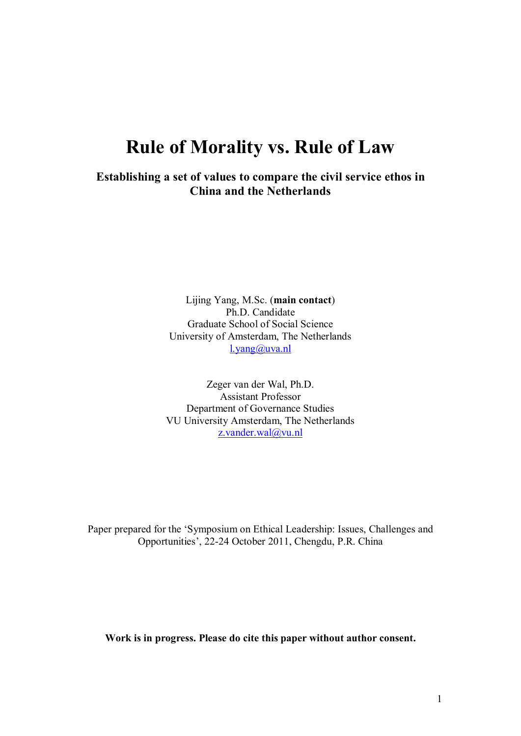# **Rule of Morality vs. Rule of Law**

**Establishing a set of values to compare the civil service ethos in China and the Netherlands**

> Lijing Yang, M.Sc. (**main contact**) Ph.D. Candidate Graduate School of Social Science University of Amsterdam, The Netherlands [l.yang@uva.nl](mailto:l.yang@uva.nl)

Zeger van der Wal, Ph.D. Assistant Professor Department of Governance Studies VU University Amsterdam, The Netherlands [z.vander.wal@vu.nl](mailto:z.vander.wal@vu.nl)

Paper prepared for the 'Symposium on Ethical Leadership: Issues, Challenges and Opportunities', 22-24 October 2011, Chengdu, P.R. China

**Work is in progress. Please do cite this paper without author consent.**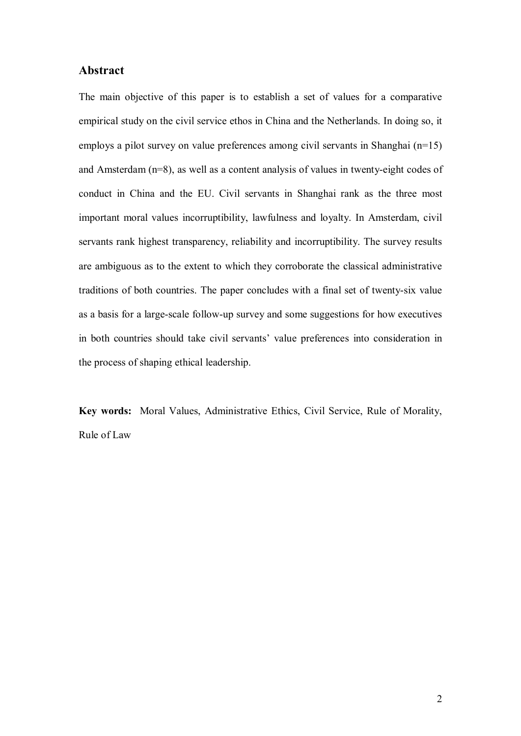# **Abstract**

The main objective of this paper is to establish a set of values for a comparative empirical study on the civil service ethos in China and the Netherlands. In doing so, it employs a pilot survey on value preferences among civil servants in Shanghai (n=15) and Amsterdam (n=8), as well as a content analysis of values in twenty-eight codes of conduct in China and the EU. Civil servants in Shanghai rank as the three most important moral values incorruptibility, lawfulness and loyalty. In Amsterdam, civil servants rank highest transparency, reliability and incorruptibility. The survey results are ambiguous as to the extent to which they corroborate the classical administrative traditions of both countries. The paper concludes with a final set of twenty-six value as a basis for a large-scale follow-up survey and some suggestions for how executives in both countries should take civil servants' value preferences into consideration in the process of shaping ethical leadership.

**Key words:** Moral Values, Administrative Ethics, Civil Service, Rule of Morality, Rule of Law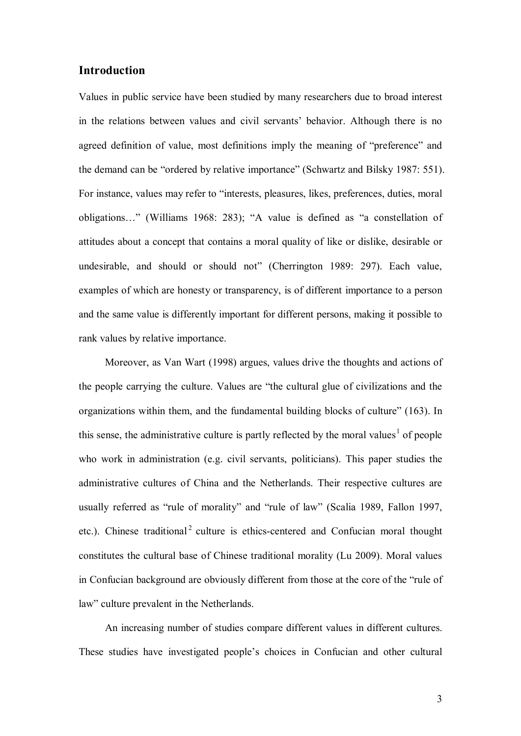# **Introduction**

Values in public service have been studied by many researchers due to broad interest in the relations between values and civil servants' behavior. Although there is no agreed definition of value, most definitions imply the meaning of "preference" and the demand can be "ordered by relative importance" (Schwartz and Bilsky 1987: 551). For instance, values may refer to "interests, pleasures, likes, preferences, duties, moral obligations…" (Williams 1968: 283); "A value is defined as "a constellation of attitudes about a concept that contains a moral quality of like or dislike, desirable or undesirable, and should or should not" (Cherrington 1989: 297). Each value, examples of which are honesty or transparency, is of different importance to a person and the same value is differently important for different persons, making it possible to rank values by relative importance.

Moreover, as Van Wart (1998) argues, values drive the thoughts and actions of the people carrying the culture. Values are "the cultural glue of civilizations and the organizations within them, and the fundamental building blocks of culture" (163). In this sense, the administrative culture is partly reflected by the moral values<sup>[1](#page-29-0)</sup> of people who work in administration (e.g. civil servants, politicians). This paper studies the administrative cultures of China and the Netherlands. Their respective cultures are usually referred as "rule of morality" and "rule of law" (Scalia 1989, Fallon 1997, etc.). Chinese traditional<sup>[2](#page-29-1)</sup> culture is ethics-centered and Confucian moral thought constitutes the cultural base of Chinese traditional morality (Lu 2009). Moral values in Confucian background are obviously different from those at the core of the "rule of law" culture prevalent in the Netherlands.

An increasing number of studies compare different values in different cultures. These studies have investigated people's choices in Confucian and other cultural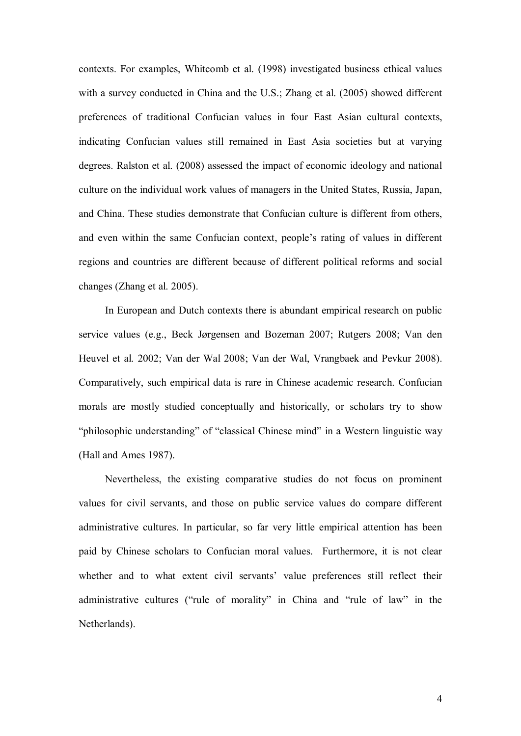contexts. For examples, Whitcomb et al. (1998) investigated business ethical values with a survey conducted in China and the U.S.; Zhang et al. (2005) showed different preferences of traditional Confucian values in four East Asian cultural contexts, indicating Confucian values still remained in East Asia societies but at varying degrees. Ralston et al. (2008) assessed the impact of economic ideology and national culture on the individual work values of managers in the United States, Russia, Japan, and China. These studies demonstrate that Confucian culture is different from others, and even within the same Confucian context, people's rating of values in different regions and countries are different because of different political reforms and social changes (Zhang et al. 2005).

In European and Dutch contexts there is abundant empirical research on public service values (e.g., Beck Jørgensen and Bozeman 2007; Rutgers 2008; Van den Heuvel et al. 2002; Van der Wal 2008; Van der Wal, Vrangbaek and Pevkur 2008). Comparatively, such empirical data is rare in Chinese academic research. Confucian morals are mostly studied conceptually and historically, or scholars try to show "philosophic understanding" of "classical Chinese mind" in a Western linguistic way (Hall and Ames 1987).

Nevertheless, the existing comparative studies do not focus on prominent values for civil servants, and those on public service values do compare different administrative cultures. In particular, so far very little empirical attention has been paid by Chinese scholars to Confucian moral values. Furthermore, it is not clear whether and to what extent civil servants' value preferences still reflect their administrative cultures ("rule of morality" in China and "rule of law" in the Netherlands).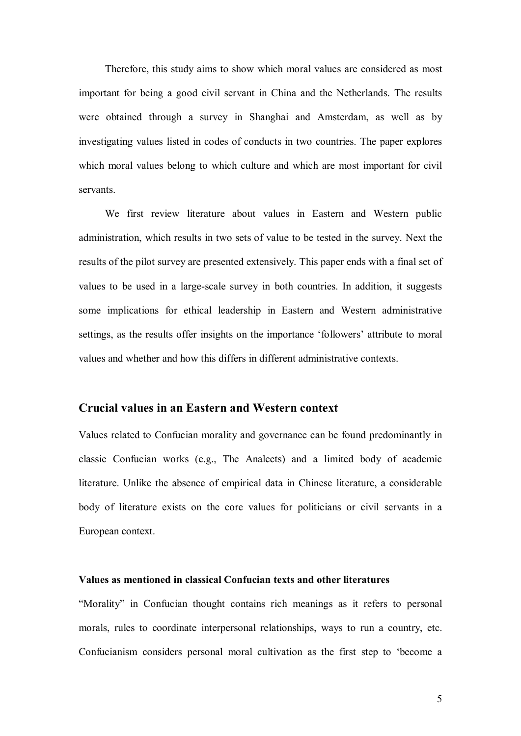Therefore, this study aims to show which moral values are considered as most important for being a good civil servant in China and the Netherlands. The results were obtained through a survey in Shanghai and Amsterdam, as well as by investigating values listed in codes of conducts in two countries. The paper explores which moral values belong to which culture and which are most important for civil servants.

We first review literature about values in Eastern and Western public administration, which results in two sets of value to be tested in the survey. Next the results of the pilot survey are presented extensively. This paper ends with a final set of values to be used in a large-scale survey in both countries. In addition, it suggests some implications for ethical leadership in Eastern and Western administrative settings, as the results offer insights on the importance 'followers' attribute to moral values and whether and how this differs in different administrative contexts.

# **Crucial values in an Eastern and Western context**

Values related to Confucian morality and governance can be found predominantly in classic Confucian works (e.g., The Analects) and a limited body of academic literature. Unlike the absence of empirical data in Chinese literature, a considerable body of literature exists on the core values for politicians or civil servants in a European context.

## **Values as mentioned in classical Confucian texts and other literatures**

"Morality" in Confucian thought contains rich meanings as it refers to personal morals, rules to coordinate interpersonal relationships, ways to run a country, etc. Confucianism considers personal moral cultivation as the first step to 'become a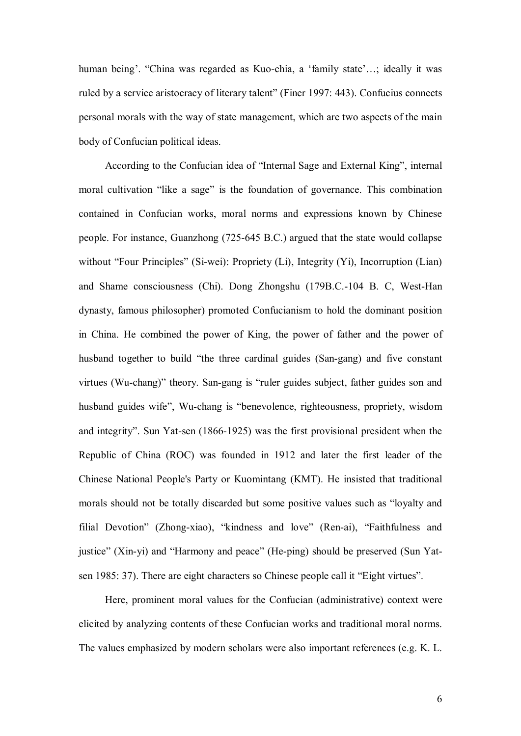human being'. "China was regarded as Kuo-chia, a 'family state'...; ideally it was ruled by a service aristocracy of literary talent" (Finer 1997: 443). Confucius connects personal morals with the way of state management, which are two aspects of the main body of Confucian political ideas.

According to the Confucian idea of "Internal Sage and External King", internal moral cultivation "like a sage" is the foundation of governance. This combination contained in Confucian works, moral norms and expressions known by Chinese people. For instance, Guanzhong (725-645 B.C.) argued that the state would collapse without "Four Principles" (Si-wei): Propriety (Li), Integrity (Yi), Incorruption (Lian) and Shame consciousness (Chi). Dong Zhongshu (179B.C.-104 B. C, West-Han dynasty, famous philosopher) promoted Confucianism to hold the dominant position in China. He combined the power of King, the power of father and the power of husband together to build "the three cardinal guides (San-gang) and five constant virtues (Wu-chang)" theory. San-gang is "ruler guides subject, father guides son and husband guides wife", Wu-chang is "benevolence, righteousness, propriety, wisdom and integrity". Sun Yat-sen (1866-1925) was the first provisional president when the Republic of China (ROC) was founded in 1912 and later the first leader of the Chinese National People's Party or Kuomintang (KMT). He insisted that traditional morals should not be totally discarded but some positive values such as "loyalty and filial Devotion" (Zhong-xiao), "kindness and love" (Ren-ai), "Faithfulness and justice" (Xin-yi) and "Harmony and peace" (He-ping) should be preserved (Sun Yatsen 1985: 37). There are eight characters so Chinese people call it "Eight virtues".

Here, prominent moral values for the Confucian (administrative) context were elicited by analyzing contents of these Confucian works and traditional moral norms. The values emphasized by modern scholars were also important references (e.g. K. L.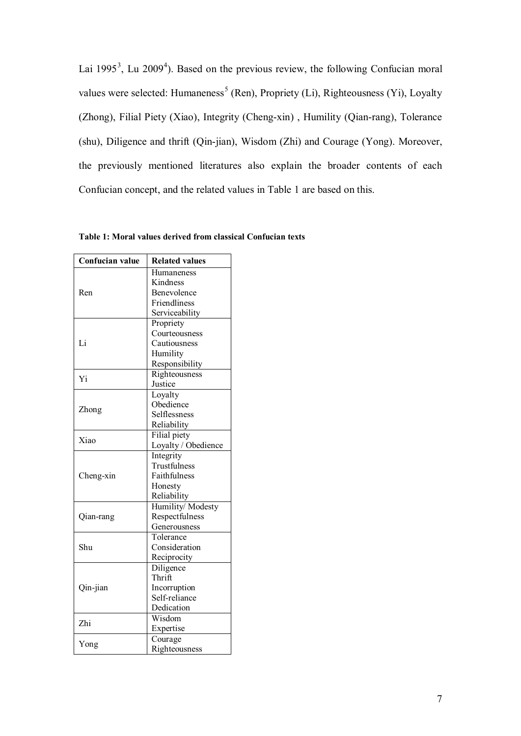Lai 1995<sup>[3](#page-29-2)</sup>, Lu 2009<sup>[4](#page-29-3)</sup>). Based on the previous review, the following Confucian moral values were selected: Humaneness<sup>[5](#page-29-4)</sup> (Ren), Propriety (Li), Righteousness (Yi), Loyalty (Zhong), Filial Piety (Xiao), Integrity (Cheng-xin) , Humility (Qian-rang), Tolerance (shu), Diligence and thrift (Qin-jian), Wisdom (Zhi) and Courage (Yong). Moreover, the previously mentioned literatures also explain the broader contents of each Confucian concept, and the related values in Table 1 are based on this.

| Table 1: Moral values derived from classical Confucian texts |  |  |  |  |  |  |  |  |  |
|--------------------------------------------------------------|--|--|--|--|--|--|--|--|--|
|--------------------------------------------------------------|--|--|--|--|--|--|--|--|--|

| Confucian value | <b>Related values</b> |  |  |
|-----------------|-----------------------|--|--|
|                 | Humaneness            |  |  |
|                 | Kindness              |  |  |
| Ren             | Benevolence           |  |  |
|                 | Friendliness          |  |  |
|                 | Serviceability        |  |  |
|                 | Propriety             |  |  |
|                 | Courteousness         |  |  |
| Li              | Cautiousness          |  |  |
|                 | Humility              |  |  |
|                 | Responsibility        |  |  |
| Yi              | Righteousness         |  |  |
|                 | Justice               |  |  |
|                 | Loyalty               |  |  |
| Zhong           | Obedience             |  |  |
|                 | Selflessness          |  |  |
|                 | Reliability           |  |  |
| Xiao            | Filial piety          |  |  |
|                 | Loyalty / Obedience   |  |  |
|                 | Integrity             |  |  |
|                 | Trustfulness          |  |  |
| Cheng-xin       | Faithfulness          |  |  |
|                 | Honesty               |  |  |
|                 | Reliability           |  |  |
|                 | Humility/ Modesty     |  |  |
| Qian-rang       | Respectfulness        |  |  |
|                 | Generousness          |  |  |
|                 | Tolerance             |  |  |
| Shu             | Consideration         |  |  |
|                 | Reciprocity           |  |  |
|                 | Diligence             |  |  |
|                 | Thrift                |  |  |
| Qin-jian        | Incorruption          |  |  |
|                 | Self-reliance         |  |  |
|                 | Dedication            |  |  |
| Zhi             | Wisdom                |  |  |
|                 | Expertise             |  |  |
| Yong            | Courage               |  |  |
|                 | Righteousness         |  |  |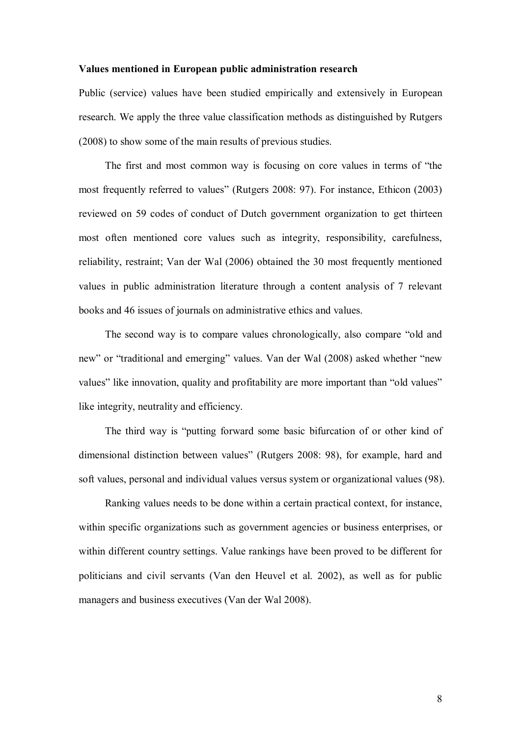#### **Values mentioned in European public administration research**

Public (service) values have been studied empirically and extensively in European research. We apply the three value classification methods as distinguished by Rutgers (2008) to show some of the main results of previous studies.

The first and most common way is focusing on core values in terms of "the most frequently referred to values" (Rutgers 2008: 97). For instance, Ethicon (2003) reviewed on 59 codes of conduct of Dutch government organization to get thirteen most often mentioned core values such as integrity, responsibility, carefulness, reliability, restraint; Van der Wal (2006) obtained the 30 most frequently mentioned values in public administration literature through a content analysis of 7 relevant books and 46 issues of journals on administrative ethics and values.

The second way is to compare values chronologically, also compare "old and new" or "traditional and emerging" values. Van der Wal (2008) asked whether "new values" like innovation, quality and profitability are more important than "old values" like integrity, neutrality and efficiency.

The third way is "putting forward some basic bifurcation of or other kind of dimensional distinction between values" (Rutgers 2008: 98), for example, hard and soft values, personal and individual values versus system or organizational values (98).

Ranking values needs to be done within a certain practical context, for instance, within specific organizations such as government agencies or business enterprises, or within different country settings. Value rankings have been proved to be different for politicians and civil servants (Van den Heuvel et al. 2002), as well as for public managers and business executives (Van der Wal 2008).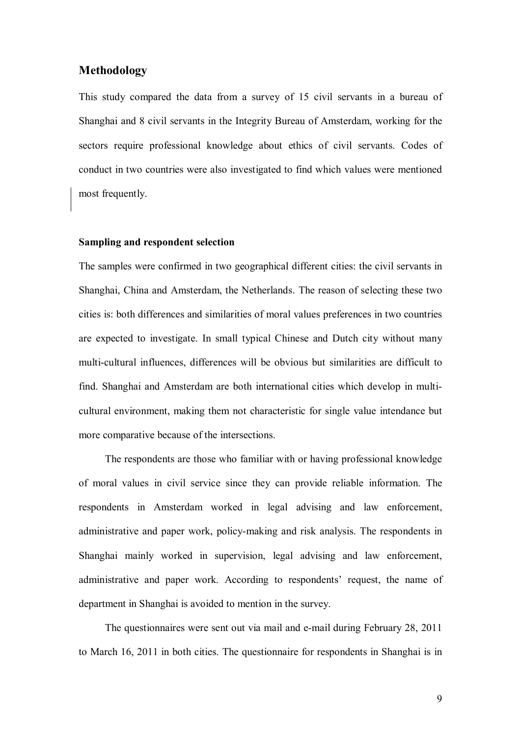# **Methodology**

This study compared the data from a survey of 15 civil servants in a bureau of Shanghai and 8 civil servants in the Integrity Bureau of Amsterdam, working for the sectors require professional knowledge about ethics of civil servants. Codes of conduct in two countries were also investigated to find which values were mentioned most frequently.

## **Sampling and respondent selection**

The samples were confirmed in two geographical different cities: the civil servants in Shanghai, China and Amsterdam, the Netherlands. The reason of selecting these two cities is: both differences and similarities of moral values preferences in two countries are expected to investigate. In small typical Chinese and Dutch city without many multi-cultural influences, differences will be obvious but similarities are difficult to find. Shanghai and Amsterdam are both international cities which develop in multicultural environment, making them not characteristic for single value intendance but more comparative because of the intersections.

The respondents are those who familiar with or having professional knowledge of moral values in civil service since they can provide reliable information. The respondents in Amsterdam worked in legal advising and law enforcement, administrative and paper work, policy-making and risk analysis. The respondents in Shanghai mainly worked in supervision, legal advising and law enforcement, administrative and paper work. According to respondents' request, the name of department in Shanghai is avoided to mention in the survey.

The questionnaires were sent out via mail and e-mail during February 28, 2011 to March 16, 2011 in both cities. The questionnaire for respondents in Shanghai is in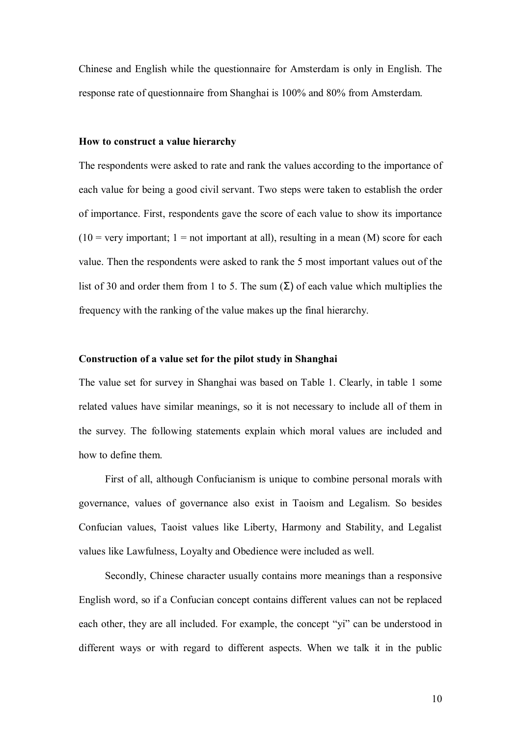Chinese and English while the questionnaire for Amsterdam is only in English. The response rate of questionnaire from Shanghai is 100% and 80% from Amsterdam.

#### **How to construct a value hierarchy**

The respondents were asked to rate and rank the values according to the importance of each value for being a good civil servant. Two steps were taken to establish the order of importance. First, respondents gave the score of each value to show its importance  $(10 = \text{very important}; 1 = \text{not important at all}),$  resulting in a mean  $(M)$  score for each value. Then the respondents were asked to rank the 5 most important values out of the list of 30 and order them from 1 to 5. The sum  $(\Sigma)$  of each value which multiplies the frequency with the ranking of the value makes up the final hierarchy.

## **Construction of a value set for the pilot study in Shanghai**

The value set for survey in Shanghai was based on Table 1. Clearly, in table 1 some related values have similar meanings, so it is not necessary to include all of them in the survey. The following statements explain which moral values are included and how to define them.

First of all, although Confucianism is unique to combine personal morals with governance, values of governance also exist in Taoism and Legalism. So besides Confucian values, Taoist values like Liberty, Harmony and Stability, and Legalist values like Lawfulness, Loyalty and Obedience were included as well.

Secondly, Chinese character usually contains more meanings than a responsive English word, so if a Confucian concept contains different values can not be replaced each other, they are all included. For example, the concept "yi" can be understood in different ways or with regard to different aspects. When we talk it in the public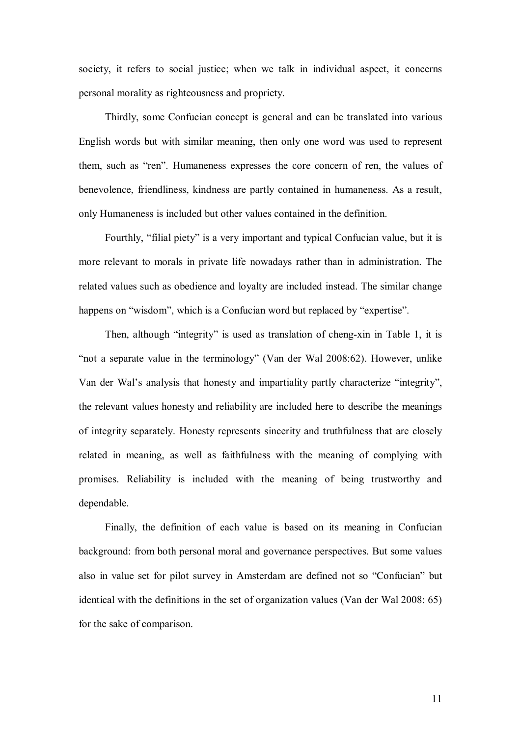society, it refers to social justice; when we talk in individual aspect, it concerns personal morality as righteousness and propriety.

Thirdly, some Confucian concept is general and can be translated into various English words but with similar meaning, then only one word was used to represent them, such as "ren". Humaneness expresses the core concern of ren, the values of benevolence, friendliness, kindness are partly contained in humaneness. As a result, only Humaneness is included but other values contained in the definition.

Fourthly, "filial piety" is a very important and typical Confucian value, but it is more relevant to morals in private life nowadays rather than in administration. The related values such as obedience and loyalty are included instead. The similar change happens on "wisdom", which is a Confucian word but replaced by "expertise".

Then, although "integrity" is used as translation of cheng-xin in Table 1, it is "not a separate value in the terminology" (Van der Wal 2008:62). However, unlike Van der Wal's analysis that honesty and impartiality partly characterize "integrity", the relevant values honesty and reliability are included here to describe the meanings of integrity separately. Honesty represents sincerity and truthfulness that are closely related in meaning, as well as faithfulness with the meaning of complying with promises. Reliability is included with the meaning of being trustworthy and dependable.

Finally, the definition of each value is based on its meaning in Confucian background: from both personal moral and governance perspectives. But some values also in value set for pilot survey in Amsterdam are defined not so "Confucian" but identical with the definitions in the set of organization values (Van der Wal 2008: 65) for the sake of comparison.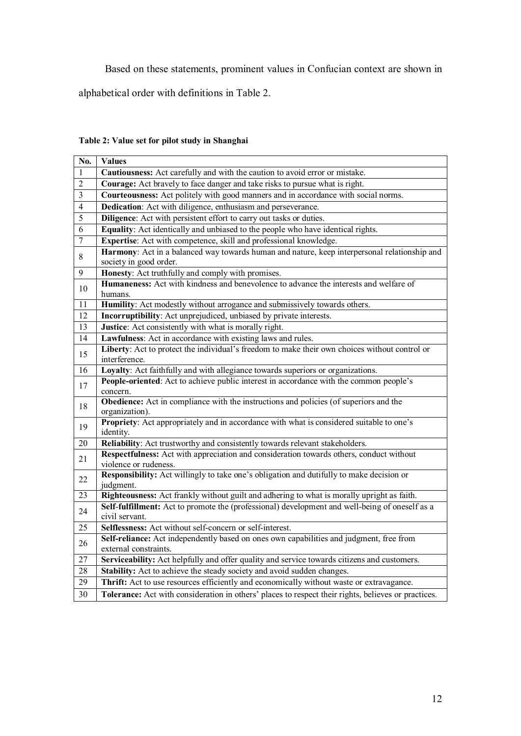Based on these statements, prominent values in Confucian context are shown in

alphabetical order with definitions in Table 2.

## **Table 2: Value set for pilot study in Shanghai**

| No.              | <b>Values</b>                                                                                                          |  |  |  |  |  |  |
|------------------|------------------------------------------------------------------------------------------------------------------------|--|--|--|--|--|--|
| $\mathbf{1}$     | Cautiousness: Act carefully and with the caution to avoid error or mistake.                                            |  |  |  |  |  |  |
| $\mathbf{2}$     | Courage: Act bravely to face danger and take risks to pursue what is right.                                            |  |  |  |  |  |  |
| $\overline{3}$   | Courteousness: Act politely with good manners and in accordance with social norms.                                     |  |  |  |  |  |  |
| $\overline{4}$   | Dedication: Act with diligence, enthusiasm and perseverance.                                                           |  |  |  |  |  |  |
| $\overline{5}$   | Diligence: Act with persistent effort to carry out tasks or duties.                                                    |  |  |  |  |  |  |
| 6                | Equality: Act identically and unbiased to the people who have identical rights.                                        |  |  |  |  |  |  |
| $\boldsymbol{7}$ | Expertise: Act with competence, skill and professional knowledge.                                                      |  |  |  |  |  |  |
| $8\,$            | Harmony: Act in a balanced way towards human and nature, keep interpersonal relationship and<br>society in good order. |  |  |  |  |  |  |
| $\overline{9}$   | Honesty: Act truthfully and comply with promises.                                                                      |  |  |  |  |  |  |
| $10\,$           | Humaneness: Act with kindness and benevolence to advance the interests and welfare of                                  |  |  |  |  |  |  |
|                  | humans.                                                                                                                |  |  |  |  |  |  |
| $\overline{11}$  | Humility: Act modestly without arrogance and submissively towards others.                                              |  |  |  |  |  |  |
| 12               | Incorruptibility: Act unprejudiced, unbiased by private interests.                                                     |  |  |  |  |  |  |
| 13               | Justice: Act consistently with what is morally right.                                                                  |  |  |  |  |  |  |
| 14               | Lawfulness: Act in accordance with existing laws and rules.                                                            |  |  |  |  |  |  |
| 15               | Liberty: Act to protect the individual's freedom to make their own choices without control or<br>interference.         |  |  |  |  |  |  |
| 16               | Loyalty: Act faithfully and with allegiance towards superiors or organizations.                                        |  |  |  |  |  |  |
| 17               | People-oriented: Act to achieve public interest in accordance with the common people's<br>concern.                     |  |  |  |  |  |  |
| 18               | Obedience: Act in compliance with the instructions and policies (of superiors and the<br>organization).                |  |  |  |  |  |  |
| 19               | Propriety: Act appropriately and in accordance with what is considered suitable to one's<br>identity.                  |  |  |  |  |  |  |
| 20               | Reliability: Act trustworthy and consistently towards relevant stakeholders.                                           |  |  |  |  |  |  |
| 21               | Respectfulness: Act with appreciation and consideration towards others, conduct without<br>violence or rudeness.       |  |  |  |  |  |  |
| 22               | Responsibility: Act willingly to take one's obligation and dutifully to make decision or<br>judgment.                  |  |  |  |  |  |  |
| 23               | Righteousness: Act frankly without guilt and adhering to what is morally upright as faith.                             |  |  |  |  |  |  |
| 24               | Self-fulfillment: Act to promote the (professional) development and well-being of oneself as a<br>civil servant.       |  |  |  |  |  |  |
| 25               | Selflessness: Act without self-concern or self-interest.                                                               |  |  |  |  |  |  |
| 26               | Self-reliance: Act independently based on ones own capabilities and judgment, free from<br>external constraints.       |  |  |  |  |  |  |
| $27\,$           | Serviceability: Act helpfully and offer quality and service towards citizens and customers.                            |  |  |  |  |  |  |
| $28\,$           | Stability: Act to achieve the steady society and avoid sudden changes.                                                 |  |  |  |  |  |  |
| 29               | Thrift: Act to use resources efficiently and economically without waste or extravagance.                               |  |  |  |  |  |  |
| 30               | Tolerance: Act with consideration in others' places to respect their rights, believes or practices.                    |  |  |  |  |  |  |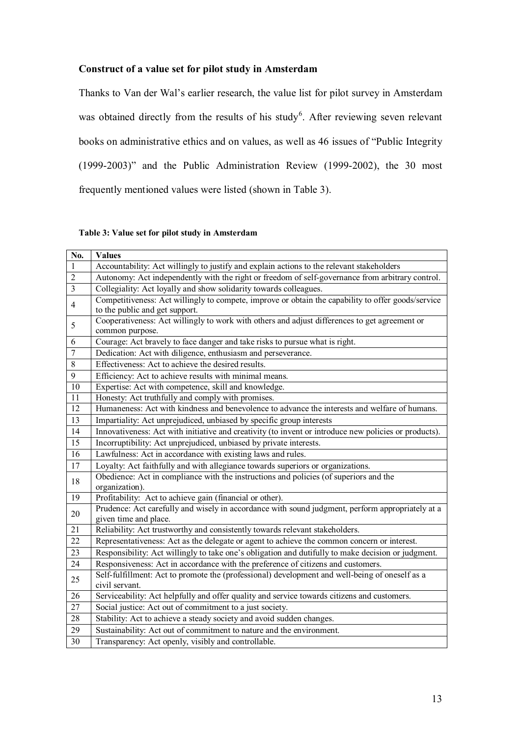## **Construct of a value set for pilot study in Amsterdam**

Thanks to Van der Wal's earlier research, the value list for pilot survey in Amsterdam was obtained directly from the results of his study. After reviewing seven relevant books on administrative ethics and on values, as well as 46 issues of "Public Integrity (1999-2003)" and the Public Administration Review (1999-2002), the 30 most frequently mentioned values were listed (shown in Table 3).

## **Table 3: Value set for pilot study in Amsterdam**

| No.             | <b>Values</b>                                                                                                                        |  |  |  |  |  |  |  |
|-----------------|--------------------------------------------------------------------------------------------------------------------------------------|--|--|--|--|--|--|--|
| 1               | Accountability: Act willingly to justify and explain actions to the relevant stakeholders                                            |  |  |  |  |  |  |  |
| $\sqrt{2}$      | Autonomy: Act independently with the right or freedom of self-governance from arbitrary control.                                     |  |  |  |  |  |  |  |
| $\overline{3}$  | Collegiality: Act loyally and show solidarity towards colleagues.                                                                    |  |  |  |  |  |  |  |
| $\overline{4}$  | Competitiveness: Act willingly to compete, improve or obtain the capability to offer goods/service<br>to the public and get support. |  |  |  |  |  |  |  |
| 5               | Cooperativeness: Act willingly to work with others and adjust differences to get agreement or<br>common purpose.                     |  |  |  |  |  |  |  |
| 6               | Courage: Act bravely to face danger and take risks to pursue what is right.                                                          |  |  |  |  |  |  |  |
| $\overline{7}$  | Dedication: Act with diligence, enthusiasm and perseverance.                                                                         |  |  |  |  |  |  |  |
| $8\,$           | Effectiveness: Act to achieve the desired results.                                                                                   |  |  |  |  |  |  |  |
| 9               | Efficiency: Act to achieve results with minimal means.                                                                               |  |  |  |  |  |  |  |
| $\overline{10}$ | Expertise: Act with competence, skill and knowledge.                                                                                 |  |  |  |  |  |  |  |
| 11              | Honesty: Act truthfully and comply with promises.                                                                                    |  |  |  |  |  |  |  |
| 12              | Humaneness: Act with kindness and benevolence to advance the interests and welfare of humans.                                        |  |  |  |  |  |  |  |
| 13              | Impartiality: Act unprejudiced, unbiased by specific group interests                                                                 |  |  |  |  |  |  |  |
| 14              | Innovativeness: Act with initiative and creativity (to invent or introduce new policies or products).                                |  |  |  |  |  |  |  |
| 15              | Incorruptibility: Act unprejudiced, unbiased by private interests.                                                                   |  |  |  |  |  |  |  |
| $\overline{16}$ | Lawfulness: Act in accordance with existing laws and rules.                                                                          |  |  |  |  |  |  |  |
| 17              | Loyalty: Act faithfully and with allegiance towards superiors or organizations.                                                      |  |  |  |  |  |  |  |
| 18              | Obedience: Act in compliance with the instructions and policies (of superiors and the<br>organization).                              |  |  |  |  |  |  |  |
| 19              | Profitability: Act to achieve gain (financial or other).                                                                             |  |  |  |  |  |  |  |
| $20\,$          | Prudence: Act carefully and wisely in accordance with sound judgment, perform appropriately at a<br>given time and place.            |  |  |  |  |  |  |  |
| 21              | Reliability: Act trustworthy and consistently towards relevant stakeholders.                                                         |  |  |  |  |  |  |  |
| 22              | Representativeness: Act as the delegate or agent to achieve the common concern or interest.                                          |  |  |  |  |  |  |  |
| $\overline{23}$ | Responsibility: Act willingly to take one's obligation and dutifully to make decision or judgment.                                   |  |  |  |  |  |  |  |
| 24              | Responsiveness: Act in accordance with the preference of citizens and customers.                                                     |  |  |  |  |  |  |  |
| 25              | Self-fulfillment: Act to promote the (professional) development and well-being of oneself as a<br>civil servant.                     |  |  |  |  |  |  |  |
| 26              | Serviceability: Act helpfully and offer quality and service towards citizens and customers.                                          |  |  |  |  |  |  |  |
| 27              | Social justice: Act out of commitment to a just society.                                                                             |  |  |  |  |  |  |  |
| 28              | Stability: Act to achieve a steady society and avoid sudden changes.                                                                 |  |  |  |  |  |  |  |
| 29              | Sustainability: Act out of commitment to nature and the environment.                                                                 |  |  |  |  |  |  |  |
| 30              | Transparency: Act openly, visibly and controllable.                                                                                  |  |  |  |  |  |  |  |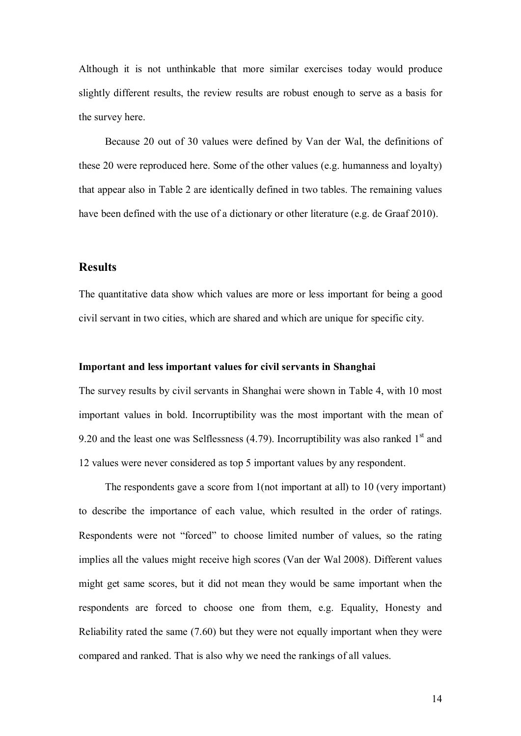Although it is not unthinkable that more similar exercises today would produce slightly different results, the review results are robust enough to serve as a basis for the survey here.

Because 20 out of 30 values were defined by Van der Wal, the definitions of these 20 were reproduced here. Some of the other values (e.g. humanness and loyalty) that appear also in Table 2 are identically defined in two tables. The remaining values have been defined with the use of a dictionary or other literature (e.g. de Graaf 2010).

# **Results**

The quantitative data show which values are more or less important for being a good civil servant in two cities, which are shared and which are unique for specific city.

## **Important and less important values for civil servants in Shanghai**

The survey results by civil servants in Shanghai were shown in Table 4, with 10 most important values in bold. Incorruptibility was the most important with the mean of 9.20 and the least one was Selflessness  $(4.79)$ . Incorruptibility was also ranked 1<sup>st</sup> and 12 values were never considered as top 5 important values by any respondent.

The respondents gave a score from 1(not important at all) to 10 (very important) to describe the importance of each value, which resulted in the order of ratings. Respondents were not "forced" to choose limited number of values, so the rating implies all the values might receive high scores (Van der Wal 2008). Different values might get same scores, but it did not mean they would be same important when the respondents are forced to choose one from them, e.g. Equality, Honesty and Reliability rated the same (7.60) but they were not equally important when they were compared and ranked. That is also why we need the rankings of all values.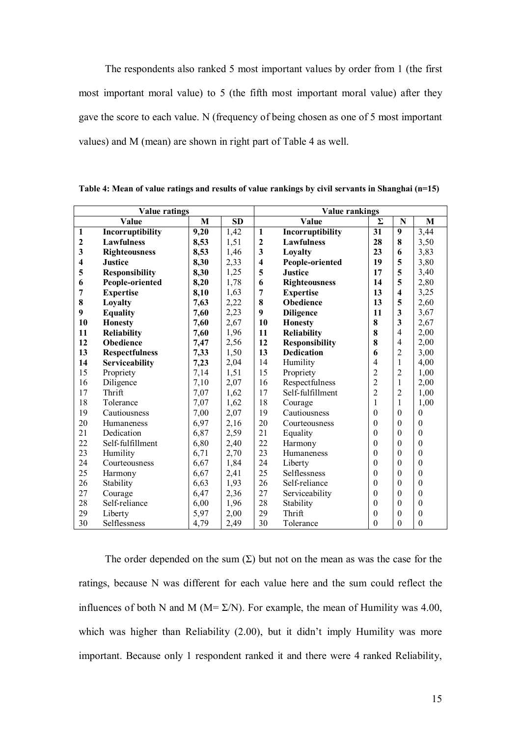The respondents also ranked 5 most important values by order from 1 (the first most important moral value) to 5 (the fifth most important moral value) after they gave the score to each value. N (frequency of being chosen as one of 5 most important values) and M (mean) are shown in right part of Table 4 as well.

| <b>Value ratings</b>    |                       |      |      |                         | <b>Value rankings</b> |                     |                         |                  |  |  |
|-------------------------|-----------------------|------|------|-------------------------|-----------------------|---------------------|-------------------------|------------------|--|--|
|                         | Value                 | M    | SD   |                         | Value                 | $\overline{\Sigma}$ | N                       | M                |  |  |
| $\mathbf{1}$            | Incorruptibility      | 9,20 | 1,42 | $\mathbf{1}$            | Incorruptibility      | 31                  | 9                       | 3,44             |  |  |
| $\overline{\mathbf{c}}$ | <b>Lawfulness</b>     | 8,53 | 1,51 | $\mathbf{2}$            | <b>Lawfulness</b>     | 28                  | 8                       | 3,50             |  |  |
| 3                       | <b>Righteousness</b>  | 8,53 | 1,46 | 3                       | Loyalty               | 23                  | 6                       | 3,83             |  |  |
| $\overline{\mathbf{4}}$ | <b>Justice</b>        | 8,30 | 2,33 | $\overline{\mathbf{4}}$ | People-oriented       | 19                  | 5                       | 3,80             |  |  |
| 5                       | <b>Responsibility</b> | 8,30 | 1,25 | 5                       | <b>Justice</b>        | 17                  | 5                       | 3,40             |  |  |
| 6                       | People-oriented       | 8,20 | 1,78 | 6                       | <b>Righteousness</b>  | 14                  | 5                       | 2,80             |  |  |
| 7                       | <b>Expertise</b>      | 8,10 | 1,63 | 7                       | <b>Expertise</b>      | 13                  | $\overline{\mathbf{4}}$ | 3,25             |  |  |
| 8                       | Loyalty               | 7,63 | 2,22 | 8                       | <b>Obedience</b>      | 13                  | 5                       | 2,60             |  |  |
| 9                       | <b>Equality</b>       | 7,60 | 2,23 | 9                       | <b>Diligence</b>      | 11                  | $\overline{\mathbf{3}}$ | 3,67             |  |  |
| 10                      | <b>Honesty</b>        | 7,60 | 2,67 | 10                      | <b>Honesty</b>        | 8                   | $\overline{\mathbf{3}}$ | 2,67             |  |  |
| 11                      | <b>Reliability</b>    | 7,60 | 1,96 | 11                      | <b>Reliability</b>    | 8                   | $\overline{4}$          | 2,00             |  |  |
| 12                      | <b>Obedience</b>      | 7,47 | 2,56 | 12                      | <b>Responsibility</b> | 8                   | $\overline{4}$          | 2,00             |  |  |
| 13                      | <b>Respectfulness</b> | 7,33 | 1,50 | 13                      | <b>Dedication</b>     | 6                   | $\overline{2}$          | 3,00             |  |  |
| 14                      | <b>Serviceability</b> | 7,23 | 2,04 | 14                      | Humility              | 4                   | $\mathbf{1}$            | 4,00             |  |  |
| 15                      | Propriety             | 7,14 | 1,51 | 15                      | Propriety             | $\overline{c}$      | $\overline{2}$          | 1,00             |  |  |
| 16                      | Diligence             | 7,10 | 2,07 | 16                      | Respectfulness        | $\overline{c}$      | $\mathbf{1}$            | 2,00             |  |  |
| 17                      | Thrift                | 7,07 | 1,62 | 17                      | Self-fulfillment      | $\overline{c}$      | $\overline{c}$          | 1,00             |  |  |
| 18                      | Tolerance             | 7,07 | 1,62 | 18                      | Courage               | $\mathbf{1}$        | $\mathbf{1}$            | 1,00             |  |  |
| 19                      | Cautiousness          | 7,00 | 2,07 | 19                      | Cautiousness          | $\overline{0}$      | $\overline{0}$          | $\theta$         |  |  |
| 20                      | Humaneness            | 6,97 | 2,16 | 20                      | Courteousness         | $\boldsymbol{0}$    | $\overline{0}$          | $\boldsymbol{0}$ |  |  |
| 21                      | Dedication            | 6,87 | 2,59 | 21                      | Equality              | $\theta$            | $\overline{0}$          | $\mathbf{0}$     |  |  |
| 22                      | Self-fulfillment      | 6,80 | 2,40 | 22                      | Harmony               | $\theta$            | $\theta$                | $\mathbf{0}$     |  |  |
| 23                      | Humility              | 6,71 | 2,70 | 23                      | Humaneness            | $\boldsymbol{0}$    | $\mathbf{0}$            | $\mathbf{0}$     |  |  |
| 24                      | Courteousness         | 6,67 | 1,84 | 24                      | Liberty               | $\theta$            | $\mathbf{0}$            | $\mathbf{0}$     |  |  |
| 25                      | Harmony               | 6,67 | 2,41 | 25                      | Selflessness          | $\theta$            | $\mathbf{0}$            | $\mathbf{0}$     |  |  |
| 26                      | Stability             | 6,63 | 1,93 | 26                      | Self-reliance         | $\theta$            | $\overline{0}$          | $\mathbf{0}$     |  |  |
| 27                      | Courage               | 6,47 | 2,36 | 27                      | Serviceability        | $\theta$            | $\overline{0}$          | $\mathbf{0}$     |  |  |
| 28                      | Self-reliance         | 6,00 | 1,96 | 28                      | Stability             | $\theta$            | $\overline{0}$          | $\mathbf{0}$     |  |  |
| 29                      | Liberty               | 5,97 | 2,00 | 29                      | Thrift                | $\theta$            | $\theta$                | $\boldsymbol{0}$ |  |  |
| 30                      | Selflessness          | 4,79 | 2,49 | 30                      | Tolerance             | $\theta$            | $\mathbf{0}$            | $\theta$         |  |  |

**Table 4: Mean of value ratings and results of value rankings by civil servants in Shanghai (n=15)** 

The order depended on the sum  $(\Sigma)$  but not on the mean as was the case for the ratings, because N was different for each value here and the sum could reflect the influences of both N and M ( $M = \Sigma/N$ ). For example, the mean of Humility was 4.00, which was higher than Reliability (2.00), but it didn't imply Humility was more important. Because only 1 respondent ranked it and there were 4 ranked Reliability,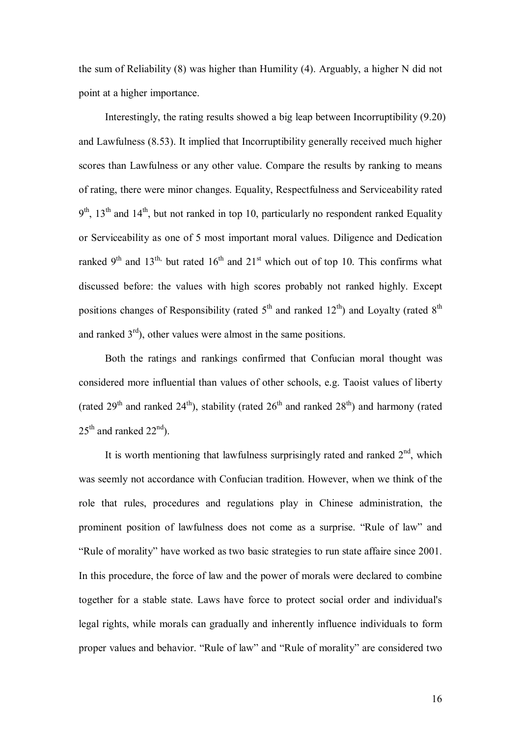the sum of Reliability (8) was higher than Humility (4). Arguably, a higher N did not point at a higher importance.

Interestingly, the rating results showed a big leap between Incorruptibility (9.20) and Lawfulness (8.53). It implied that Incorruptibility generally received much higher scores than Lawfulness or any other value. Compare the results by ranking to means of rating, there were minor changes. Equality, Respectfulness and Serviceability rated  $9<sup>th</sup>$ ,  $13<sup>th</sup>$  and  $14<sup>th</sup>$ , but not ranked in top 10, particularly no respondent ranked Equality or Serviceability as one of 5 most important moral values. Diligence and Dedication ranked  $9<sup>th</sup>$  and  $13<sup>th</sup>$ , but rated  $16<sup>th</sup>$  and  $21<sup>st</sup>$  which out of top 10. This confirms what discussed before: the values with high scores probably not ranked highly. Except positions changes of Responsibility (rated  $5<sup>th</sup>$  and ranked  $12<sup>th</sup>$ ) and Loyalty (rated  $8<sup>th</sup>$ and ranked  $3<sup>rd</sup>$ , other values were almost in the same positions.

Both the ratings and rankings confirmed that Confucian moral thought was considered more influential than values of other schools, e.g. Taoist values of liberty (rated  $29^{th}$  and ranked  $24^{th}$ ), stability (rated  $26^{th}$  and ranked  $28^{th}$ ) and harmony (rated  $25<sup>th</sup>$  and ranked  $22<sup>nd</sup>$ ).

It is worth mentioning that lawfulness surprisingly rated and ranked  $2<sup>nd</sup>$ , which was seemly not accordance with Confucian tradition. However, when we think of the role that rules, procedures and regulations play in Chinese administration, the prominent position of lawfulness does not come as a surprise. "Rule of law" and "Rule of morality" have worked as two basic strategies to run state affaire since 2001. In this procedure, the force of law and the power of morals were declared to combine together for a stable state. Laws have force to protect social order and individual's legal rights, while morals can gradually and inherently influence individuals to form proper values and behavior. "Rule of law" and "Rule of morality" are considered two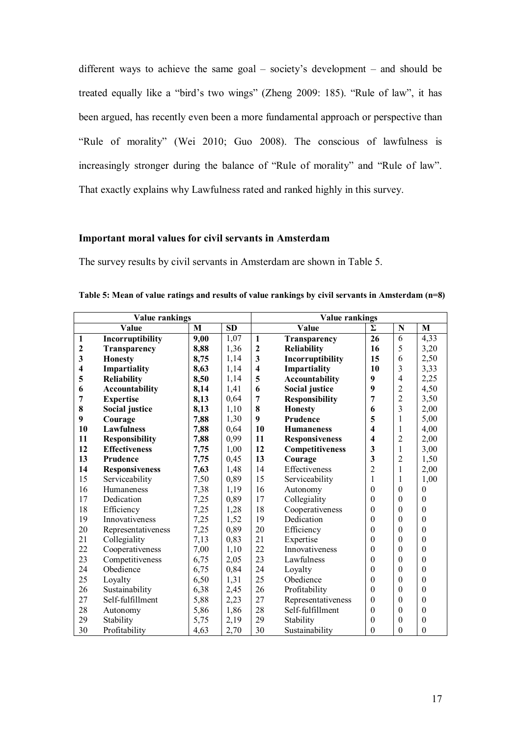different ways to achieve the same goal – society's development – and should be treated equally like a "bird's two wings" (Zheng 2009: 185). "Rule of law", it has been argued, has recently even been a more fundamental approach or perspective than "Rule of morality" (Wei 2010; Guo 2008). The conscious of lawfulness is increasingly stronger during the balance of "Rule of morality" and "Rule of law". That exactly explains why Lawfulness rated and ranked highly in this survey.

## **Important moral values for civil servants in Amsterdam**

The survey results by civil servants in Amsterdam are shown in Table 5.

| <b>Value rankings</b>   |                       |      |           |                         | <b>Value rankings</b> |                         |                         |                  |  |  |
|-------------------------|-----------------------|------|-----------|-------------------------|-----------------------|-------------------------|-------------------------|------------------|--|--|
|                         | <b>Value</b>          | M    | <b>SD</b> |                         | Value                 | $\Sigma$                | $\mathbf N$             | $\bf{M}$         |  |  |
| $\mathbf{1}$            | Incorruptibility      | 9,00 | 1,07      | $\mathbf{1}$            | Transparency          | 26                      | 6                       | 4,33             |  |  |
| $\overline{2}$          | Transparency          | 8,88 | 1,36      | $\overline{2}$          | <b>Reliability</b>    | 16                      | 5                       | 3,20             |  |  |
| 3                       | <b>Honesty</b>        | 8,75 | 1,14      | 3                       | Incorruptibility      | 15                      | 6                       | 2,50             |  |  |
| $\overline{\mathbf{4}}$ | Impartiality          | 8,63 | 1,14      | $\overline{\mathbf{4}}$ | Impartiality          | 10                      | 3                       | 3,33             |  |  |
| 5                       | <b>Reliability</b>    | 8,50 | 1,14      | 5                       | <b>Accountability</b> | 9                       | $\overline{4}$          | 2,25             |  |  |
| 6                       | <b>Accountability</b> | 8,14 | 1,41      | 6                       | <b>Social justice</b> | 9                       | $\overline{2}$          | 4,50             |  |  |
| 7                       | <b>Expertise</b>      | 8,13 | 0,64      | 7                       | <b>Responsibility</b> | 7                       | $\overline{2}$          | 3,50             |  |  |
| 8                       | Social justice        | 8,13 | 1,10      | 8                       | <b>Honesty</b>        | 6                       | $\overline{\mathbf{3}}$ | 2,00             |  |  |
| 9                       | Courage               | 7,88 | 1,30      | 9                       | Prudence              | 5                       | $\mathbf{1}$            | 5,00             |  |  |
| 10                      | <b>Lawfulness</b>     | 7,88 | 0,64      | 10                      | <b>Humaneness</b>     | $\overline{\mathbf{4}}$ | $\mathbf{1}$            | 4,00             |  |  |
| 11                      | <b>Responsibility</b> | 7,88 | 0,99      | 11                      | <b>Responsiveness</b> | $\overline{\mathbf{4}}$ | $\overline{c}$          | 2,00             |  |  |
| 12                      | <b>Effectiveness</b>  | 7,75 | 1,00      | 12                      | Competitiveness       | 3                       | $\mathbf{1}$            | 3,00             |  |  |
| 13                      | Prudence              | 7,75 | 0,45      | 13                      | Courage               | $\overline{\mathbf{3}}$ | $\overline{2}$          | 1,50             |  |  |
| 14                      | <b>Responsiveness</b> | 7,63 | 1,48      | 14                      | Effectiveness         | $\overline{2}$          | $\mathbf{1}$            | 2,00             |  |  |
| 15                      | Serviceability        | 7,50 | 0,89      | 15                      | Serviceability        | 1                       | $\mathbf{1}$            | 1,00             |  |  |
| 16                      | Humaneness            | 7,38 | 1,19      | 16                      | Autonomy              | $\overline{0}$          | $\mathbf{0}$            | $\Omega$         |  |  |
| 17                      | Dedication            | 7,25 | 0,89      | 17                      | Collegiality          | $\mathbf{0}$            | $\overline{0}$          | $\theta$         |  |  |
| 18                      | Efficiency            | 7,25 | 1,28      | 18                      | Cooperativeness       | $\mathbf{0}$            | $\overline{0}$          | $\boldsymbol{0}$ |  |  |
| 19                      | Innovativeness        | 7,25 | 1,52      | 19                      | Dedication            | $\mathbf{0}$            | $\mathbf{0}$            | $\mathbf{0}$     |  |  |
| 20                      | Representativeness    | 7,25 | 0,89      | 20                      | Efficiency            | $\mathbf{0}$            | $\mathbf{0}$            | $\boldsymbol{0}$ |  |  |
| 21                      | Collegiality          | 7,13 | 0,83      | 21                      | Expertise             | $\mathbf{0}$            | $\overline{0}$          | $\mathbf{0}$     |  |  |
| 22                      | Cooperativeness       | 7,00 | 1,10      | 22                      | Innovativeness        | $\overline{0}$          | $\Omega$                | $\mathbf{0}$     |  |  |
| 23                      | Competitiveness       | 6,75 | 2,05      | 23                      | Lawfulness            | $\mathbf{0}$            | $\overline{0}$          | $\boldsymbol{0}$ |  |  |
| 24                      | Obedience             | 6,75 | 0,84      | 24                      | Loyalty               | $\mathbf{0}$            | $\overline{0}$          | $\mathbf{0}$     |  |  |
| 25                      | Loyalty               | 6,50 | 1,31      | 25                      | Obedience             | $\overline{0}$          | $\mathbf{0}$            | $\mathbf{0}$     |  |  |
| 26                      | Sustainability        | 6,38 | 2,45      | 26                      | Profitability         | $\theta$                | $\theta$                | $\boldsymbol{0}$ |  |  |
| 27                      | Self-fulfillment      | 5,88 | 2,23      | 27                      | Representativeness    | $\mathbf{0}$            | $\Omega$                | $\mathbf{0}$     |  |  |
| 28                      | Autonomy              | 5,86 | 1,86      | 28                      | Self-fulfillment      | $\boldsymbol{0}$        | $\mathbf{0}$            | $\boldsymbol{0}$ |  |  |
| 29                      | Stability             | 5,75 | 2,19      | 29                      | Stability             | $\theta$                | $\theta$                | $\boldsymbol{0}$ |  |  |
| 30                      | Profitability         | 4,63 | 2,70      | 30                      | Sustainability        | $\mathbf{0}$            | $\overline{0}$          | $\mathbf{0}$     |  |  |

**Table 5: Mean of value ratings and results of value rankings by civil servants in Amsterdam (n=8)**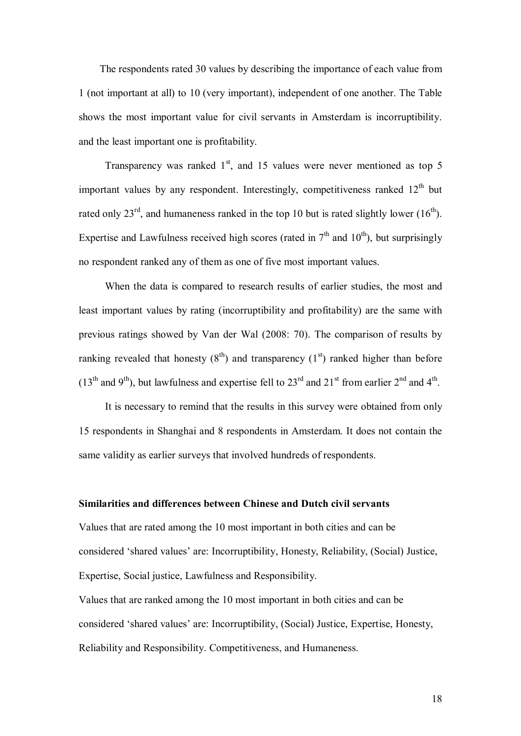The respondents rated 30 values by describing the importance of each value from 1 (not important at all) to 10 (very important), independent of one another. The Table shows the most important value for civil servants in Amsterdam is incorruptibility. and the least important one is profitability.

Transparency was ranked  $1<sup>st</sup>$ , and 15 values were never mentioned as top 5 important values by any respondent. Interestingly, competitiveness ranked  $12<sup>th</sup>$  but rated only  $23^{\text{rd}}$ , and humaneness ranked in the top 10 but is rated slightly lower (16<sup>th</sup>). Expertise and Lawfulness received high scores (rated in  $7<sup>th</sup>$  and  $10<sup>th</sup>$ ), but surprisingly no respondent ranked any of them as one of five most important values.

When the data is compared to research results of earlier studies, the most and least important values by rating (incorruptibility and profitability) are the same with previous ratings showed by Van der Wal (2008: 70). The comparison of results by ranking revealed that honesty  $(8<sup>th</sup>)$  and transparency  $(1<sup>st</sup>)$  ranked higher than before (13<sup>th</sup> and 9<sup>th</sup>), but lawfulness and expertise fell to 23<sup>rd</sup> and 21<sup>st</sup> from earlier 2<sup>nd</sup> and 4<sup>th</sup>.

It is necessary to remind that the results in this survey were obtained from only 15 respondents in Shanghai and 8 respondents in Amsterdam. It does not contain the same validity as earlier surveys that involved hundreds of respondents.

#### **Similarities and differences between Chinese and Dutch civil servants**

Values that are rated among the 10 most important in both cities and can be considered 'shared values' are: Incorruptibility, Honesty, Reliability, (Social) Justice, Expertise, Social justice, Lawfulness and Responsibility. Values that are ranked among the 10 most important in both cities and can be considered 'shared values' are: Incorruptibility, (Social) Justice, Expertise, Honesty,

Reliability and Responsibility. Competitiveness, and Humaneness.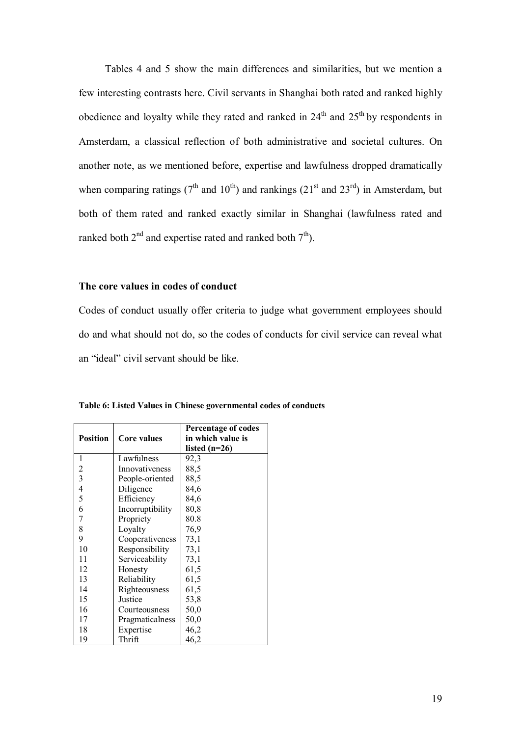Tables 4 and 5 show the main differences and similarities, but we mention a few interesting contrasts here. Civil servants in Shanghai both rated and ranked highly obedience and loyalty while they rated and ranked in  $24<sup>th</sup>$  and  $25<sup>th</sup>$  by respondents in Amsterdam, a classical reflection of both administrative and societal cultures. On another note, as we mentioned before, expertise and lawfulness dropped dramatically when comparing ratings ( $7<sup>th</sup>$  and  $10<sup>th</sup>$ ) and rankings ( $21<sup>st</sup>$  and  $23<sup>rd</sup>$ ) in Amsterdam, but both of them rated and ranked exactly similar in Shanghai (lawfulness rated and ranked both  $2<sup>nd</sup>$  and expertise rated and ranked both  $7<sup>th</sup>$ ).

# **The core values in codes of conduct**

Codes of conduct usually offer criteria to judge what government employees should do and what should not do, so the codes of conducts for civil service can reveal what an "ideal" civil servant should be like.

| <b>Position</b>          | <b>Core values</b> | <b>Percentage of codes</b><br>in which value is<br>listed $(n=26)$ |
|--------------------------|--------------------|--------------------------------------------------------------------|
| 1                        | Lawfulness         | 92.3                                                               |
| $\overline{\mathbf{c}}$  | Innovativeness     | 88,5                                                               |
| $\overline{\mathbf{3}}$  | People-oriented    | 88,5                                                               |
| $\overline{\mathcal{L}}$ | Diligence          | 84,6                                                               |
| 5                        | Efficiency         | 84,6                                                               |
| 6                        | Incorruptibility   | 80,8                                                               |
| 7                        | Propriety          | 80.8                                                               |
| 8                        | Loyalty            | 76,9                                                               |
| 9                        | Cooperativeness    | 73,1                                                               |
| 10                       | Responsibility     | 73,1                                                               |
| 11                       | Serviceability     | 73,1                                                               |
| 12                       | Honesty            | 61,5                                                               |
| 13                       | Reliability        | 61,5                                                               |
| 14                       | Righteousness      | 61,5                                                               |
| 15                       | Justice            | 53,8                                                               |
| 16                       | Courteousness      | 50,0                                                               |
| 17                       | Pragmaticalness    | 50,0                                                               |
| 18                       | Expertise          | 46,2                                                               |
| 19                       | Thrift             | 46,2                                                               |

**Table 6: Listed Values in Chinese governmental codes of conducts**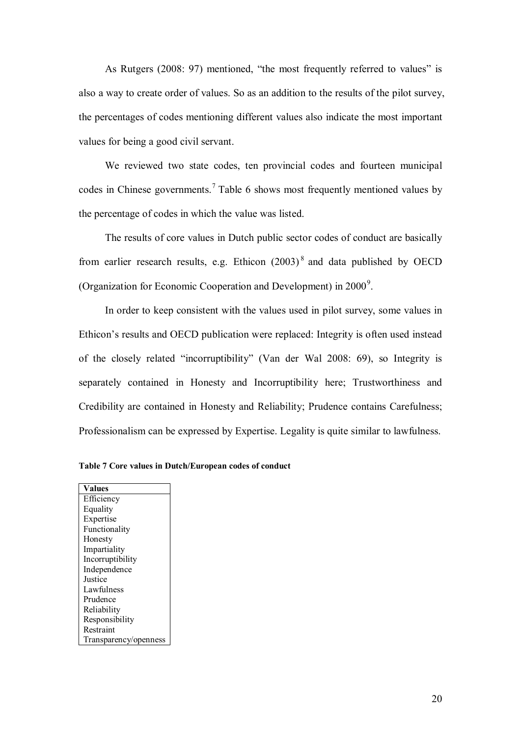As Rutgers (2008: 97) mentioned, "the most frequently referred to values" is also a way to create order of values. So as an addition to the results of the pilot survey, the percentages of codes mentioning different values also indicate the most important values for being a good civil servant.

We reviewed two state codes, ten provincial codes and fourteen municipal codes in Chinese governments.<sup>[7](#page-30-0)</sup> Table 6 shows most frequently mentioned values by the percentage of codes in which the value was listed.

The results of core values in Dutch public sector codes of conduct are basically from earlier research results, e.g. Ethicon  $(2003)^8$  $(2003)^8$  and data published by OECD (Organization for Economic Cooperation and Development) in  $2000^9$  $2000^9$ .

In order to keep consistent with the values used in pilot survey, some values in Ethicon's results and OECD publication were replaced: Integrity is often used instead of the closely related "incorruptibility" (Van der Wal 2008: 69), so Integrity is separately contained in Honesty and Incorruptibility here; Trustworthiness and Credibility are contained in Honesty and Reliability; Prudence contains Carefulness; Professionalism can be expressed by Expertise. Legality is quite similar to lawfulness.

| <b>Values</b>         |
|-----------------------|
| Efficiency            |
| Equality              |
| Expertise             |
| Functionality         |
| Honesty               |
| Impartiality          |
| Incorruptibility      |
| Independence          |
| Justice               |
| Lawfulness            |
| Prudence              |
| Reliability           |
| Responsibility        |
| Restraint             |
| Transparency/openness |

#### **Table 7 Core values in Dutch/European codes of conduct**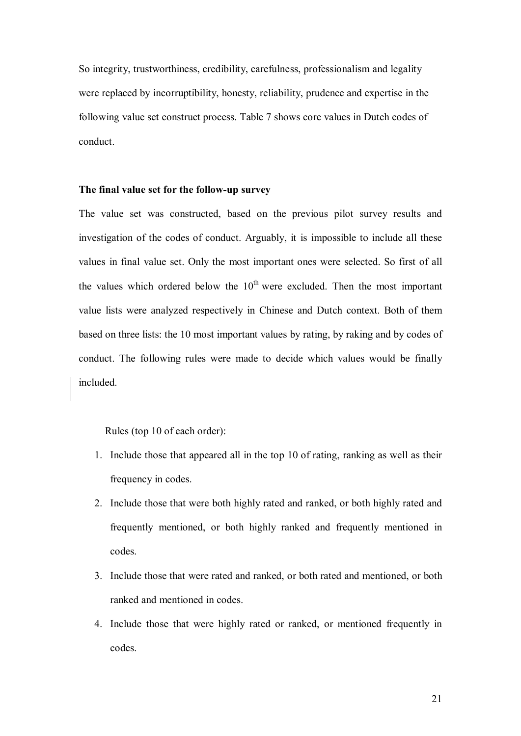So integrity, trustworthiness, credibility, carefulness, professionalism and legality were replaced by incorruptibility, honesty, reliability, prudence and expertise in the following value set construct process. Table 7 shows core values in Dutch codes of conduct.

## **The final value set for the follow-up survey**

The value set was constructed, based on the previous pilot survey results and investigation of the codes of conduct. Arguably, it is impossible to include all these values in final value set. Only the most important ones were selected. So first of all the values which ordered below the  $10<sup>th</sup>$  were excluded. Then the most important value lists were analyzed respectively in Chinese and Dutch context. Both of them based on three lists: the 10 most important values by rating, by raking and by codes of conduct. The following rules were made to decide which values would be finally included.

Rules (top 10 of each order):

- 1. Include those that appeared all in the top 10 of rating, ranking as well as their frequency in codes.
- 2. Include those that were both highly rated and ranked, or both highly rated and frequently mentioned, or both highly ranked and frequently mentioned in codes.
- 3. Include those that were rated and ranked, or both rated and mentioned, or both ranked and mentioned in codes.
- 4. Include those that were highly rated or ranked, or mentioned frequently in codes.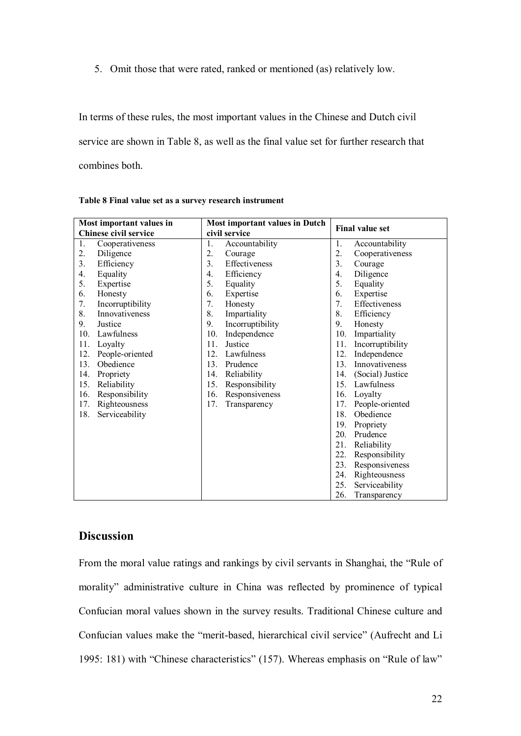5. Omit those that were rated, ranked or mentioned (as) relatively low.

In terms of these rules, the most important values in the Chinese and Dutch civil service are shown in Table 8, as well as the final value set for further research that combines both.

| Most important values in |                              |     | <b>Most important values in Dutch</b> | <b>Final value set</b> |                  |  |
|--------------------------|------------------------------|-----|---------------------------------------|------------------------|------------------|--|
|                          | <b>Chinese civil service</b> |     | civil service                         |                        |                  |  |
| 1.                       | Cooperativeness              | 1.  | Accountability                        | 1.                     | Accountability   |  |
| 2.                       | Diligence                    | 2.  | Courage                               | 2.                     | Cooperativeness  |  |
| 3.                       | Efficiency                   | 3.  | Effectiveness                         | 3.                     | Courage          |  |
| 4.                       | Equality                     | 4.  | Efficiency                            | 4.                     | Diligence        |  |
| 5.                       | Expertise                    | 5.  | Equality                              | 5.                     | Equality         |  |
| 6.                       | Honesty                      | 6.  | Expertise                             | 6.                     | Expertise        |  |
| 7.                       | Incorruptibility             | 7.  | Honesty                               | 7.                     | Effectiveness    |  |
| 8.                       | Innovativeness               | 8.  | Impartiality                          | 8.                     | Efficiency       |  |
| 9.                       | Justice                      | 9.  | Incorruptibility                      | 9.                     | Honesty          |  |
| 10.                      | Lawfulness                   | 10. | Independence                          | 10.                    | Impartiality     |  |
| 11.                      | Loyalty                      | 11. | Justice                               | 11.                    | Incorruptibility |  |
| 12.                      | People-oriented              | 12. | Lawfulness                            | 12.                    | Independence     |  |
| 13.                      | Obedience                    | 13. | Prudence                              | 13.                    | Innovativeness   |  |
| 14.                      | Propriety                    | 14. | Reliability                           | 14.                    | (Social) Justice |  |
| 15.                      | Reliability                  | 15. | Responsibility                        | 15 <sub>1</sub>        | Lawfulness       |  |
| 16.                      | Responsibility               | 16. | Responsiveness                        | 16.                    | Loyalty          |  |
| 17.                      | Righteousness                | 17. | Transparency                          | 17.                    | People-oriented  |  |
| 18.                      | Serviceability               |     |                                       | 18.                    | Obedience        |  |
|                          |                              |     |                                       | 19.                    | Propriety        |  |
|                          |                              |     |                                       | 20.                    | Prudence         |  |
|                          |                              |     |                                       | 21.                    | Reliability      |  |
|                          |                              |     |                                       | 22.                    | Responsibility   |  |
|                          |                              |     |                                       | 23.                    | Responsiveness   |  |
|                          |                              |     |                                       | 24.                    | Righteousness    |  |
|                          |                              |     |                                       | 25.                    | Serviceability   |  |
|                          |                              |     |                                       | 26.                    | Transparency     |  |

**Table 8 Final value set as a survey research instrument**

# **Discussion**

From the moral value ratings and rankings by civil servants in Shanghai, the "Rule of morality" administrative culture in China was reflected by prominence of typical Confucian moral values shown in the survey results. Traditional Chinese culture and Confucian values make the "merit-based, hierarchical civil service" (Aufrecht and Li 1995: 181) with "Chinese characteristics" (157). Whereas emphasis on "Rule of law"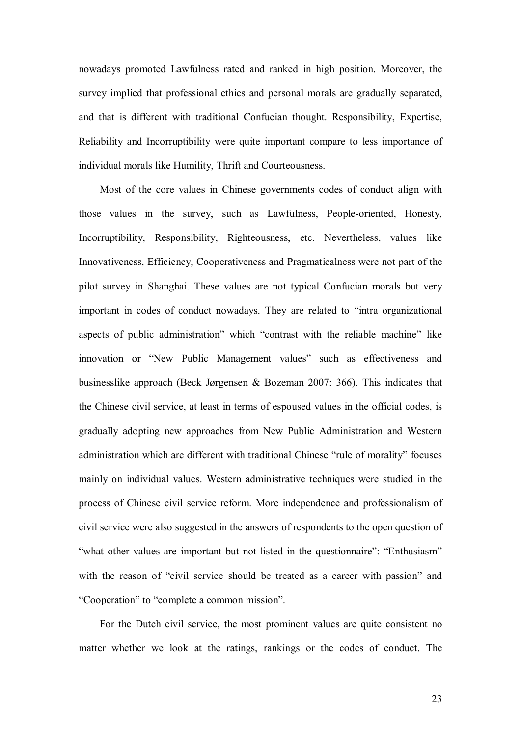nowadays promoted Lawfulness rated and ranked in high position. Moreover, the survey implied that professional ethics and personal morals are gradually separated, and that is different with traditional Confucian thought. Responsibility, Expertise, Reliability and Incorruptibility were quite important compare to less importance of individual morals like Humility, Thrift and Courteousness.

Most of the core values in Chinese governments codes of conduct align with those values in the survey, such as Lawfulness, People-oriented, Honesty, Incorruptibility, Responsibility, Righteousness, etc. Nevertheless, values like Innovativeness, Efficiency, Cooperativeness and Pragmaticalness were not part of the pilot survey in Shanghai. These values are not typical Confucian morals but very important in codes of conduct nowadays. They are related to "intra organizational aspects of public administration" which "contrast with the reliable machine" like innovation or "New Public Management values" such as effectiveness and businesslike approach (Beck Jørgensen & Bozeman 2007: 366). This indicates that the Chinese civil service, at least in terms of espoused values in the official codes, is gradually adopting new approaches from New Public Administration and Western administration which are different with traditional Chinese "rule of morality" focuses mainly on individual values. Western administrative techniques were studied in the process of Chinese civil service reform. More independence and professionalism of civil service were also suggested in the answers of respondents to the open question of "what other values are important but not listed in the questionnaire": "Enthusiasm" with the reason of "civil service should be treated as a career with passion" and "Cooperation" to "complete a common mission".

For the Dutch civil service, the most prominent values are quite consistent no matter whether we look at the ratings, rankings or the codes of conduct. The

23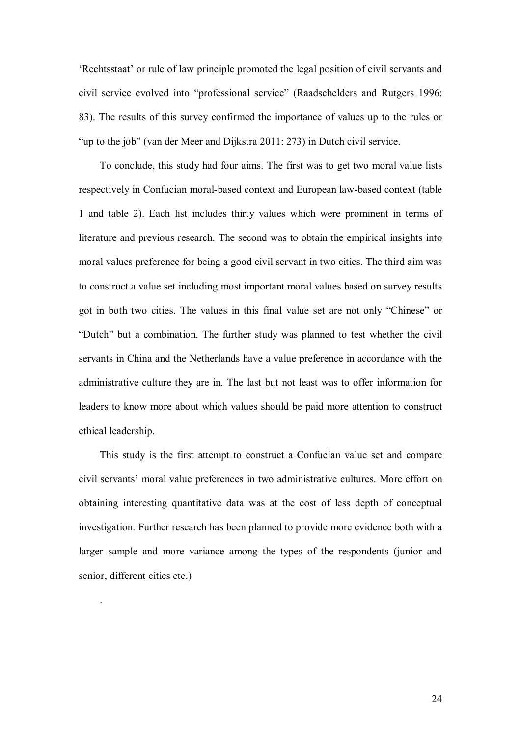'Rechtsstaat' or rule of law principle promoted the legal position of civil servants and civil service evolved into "professional service" (Raadschelders and Rutgers 1996: 83). The results of this survey confirmed the importance of values up to the rules or "up to the job" (van der Meer and Dijkstra 2011: 273) in Dutch civil service.

To conclude, this study had four aims. The first was to get two moral value lists respectively in Confucian moral-based context and European law-based context (table 1 and table 2). Each list includes thirty values which were prominent in terms of literature and previous research. The second was to obtain the empirical insights into moral values preference for being a good civil servant in two cities. The third aim was to construct a value set including most important moral values based on survey results got in both two cities. The values in this final value set are not only "Chinese" or "Dutch" but a combination. The further study was planned to test whether the civil servants in China and the Netherlands have a value preference in accordance with the administrative culture they are in. The last but not least was to offer information for leaders to know more about which values should be paid more attention to construct ethical leadership.

This study is the first attempt to construct a Confucian value set and compare civil servants' moral value preferences in two administrative cultures. More effort on obtaining interesting quantitative data was at the cost of less depth of conceptual investigation. Further research has been planned to provide more evidence both with a larger sample and more variance among the types of the respondents (junior and senior, different cities etc.)

.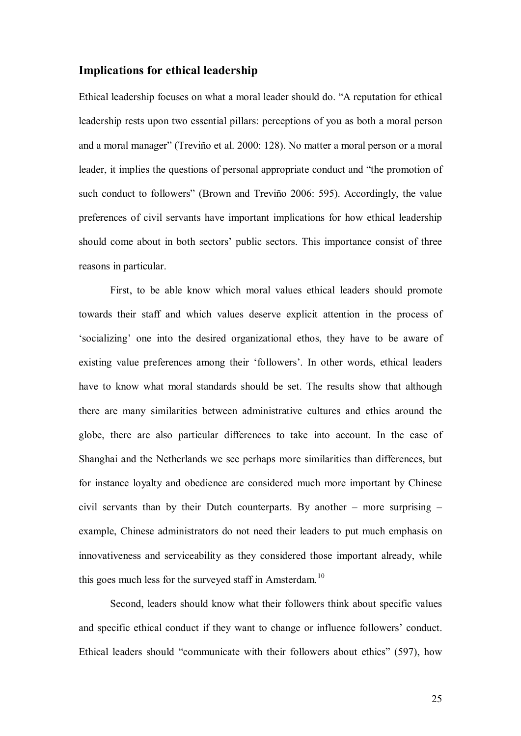# **Implications for ethical leadership**

Ethical leadership focuses on what a moral leader should do. "A reputation for ethical leadership rests upon two essential pillars: perceptions of you as both a moral person and a moral manager" (Treviño et al. 2000: 128). No matter a moral person or a moral leader, it implies the questions of personal appropriate conduct and "the promotion of such conduct to followers" (Brown and Treviño 2006: 595). Accordingly, the value preferences of civil servants have important implications for how ethical leadership should come about in both sectors' public sectors. This importance consist of three reasons in particular.

First, to be able know which moral values ethical leaders should promote towards their staff and which values deserve explicit attention in the process of 'socializing' one into the desired organizational ethos, they have to be aware of existing value preferences among their 'followers'. In other words, ethical leaders have to know what moral standards should be set. The results show that although there are many similarities between administrative cultures and ethics around the globe, there are also particular differences to take into account. In the case of Shanghai and the Netherlands we see perhaps more similarities than differences, but for instance loyalty and obedience are considered much more important by Chinese civil servants than by their Dutch counterparts. By another – more surprising – example, Chinese administrators do not need their leaders to put much emphasis on innovativeness and serviceability as they considered those important already, while this goes much less for the surveyed staff in Amsterdam.<sup>[10](#page-30-3)</sup>

Second, leaders should know what their followers think about specific values and specific ethical conduct if they want to change or influence followers' conduct. Ethical leaders should "communicate with their followers about ethics" (597), how

25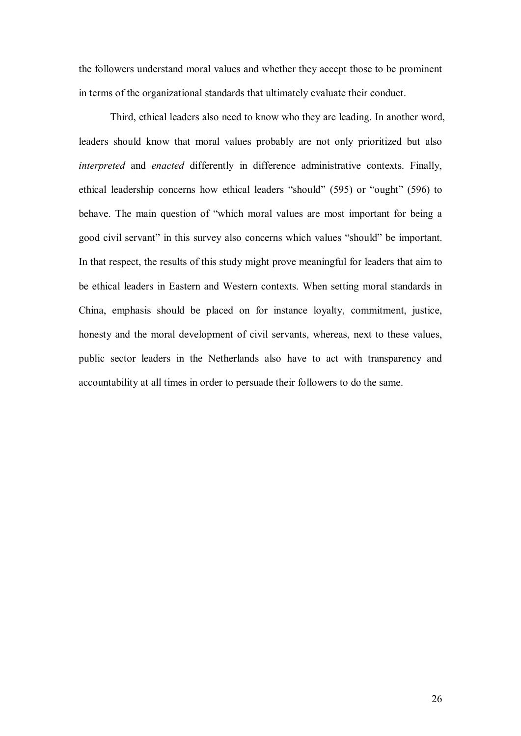the followers understand moral values and whether they accept those to be prominent in terms of the organizational standards that ultimately evaluate their conduct.

Third, ethical leaders also need to know who they are leading. In another word, leaders should know that moral values probably are not only prioritized but also *interpreted* and *enacted* differently in difference administrative contexts. Finally, ethical leadership concerns how ethical leaders "should" (595) or "ought" (596) to behave. The main question of "which moral values are most important for being a good civil servant" in this survey also concerns which values "should" be important. In that respect, the results of this study might prove meaningful for leaders that aim to be ethical leaders in Eastern and Western contexts. When setting moral standards in China, emphasis should be placed on for instance loyalty, commitment, justice, honesty and the moral development of civil servants, whereas, next to these values, public sector leaders in the Netherlands also have to act with transparency and accountability at all times in order to persuade their followers to do the same.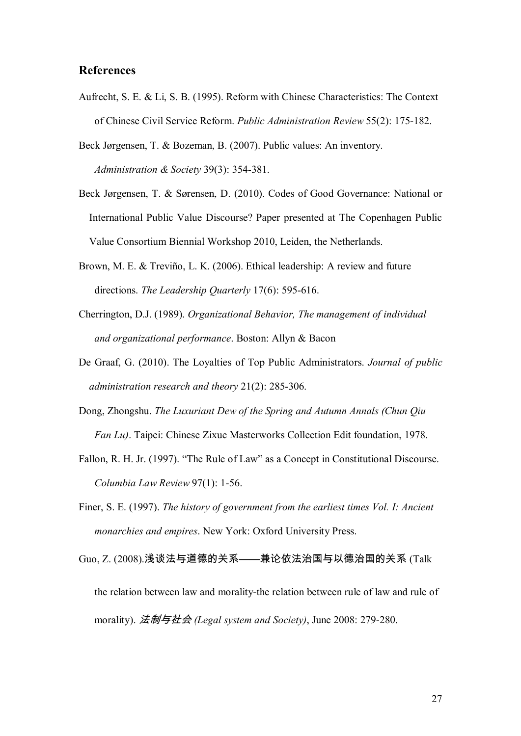# **References**

- Aufrecht, S. E. & Li, S. B. (1995). Reform with Chinese Characteristics: The Context of Chinese Civil Service Reform. *Public Administration Review* 55(2): 175-182.
- Beck Jørgensen, T. & Bozeman, B. (2007). Public values: An inventory. *Administration & Society* 39(3): 354-381.
- Beck Jørgensen, T. & Sørensen, D. (2010). Codes of Good Governance: National or International Public Value Discourse? Paper presented at The Copenhagen Public Value Consortium Biennial Workshop 2010, Leiden, the Netherlands.
- Brown, M. E. & Treviño, L. K. (2006). Ethical leadership: A review and future directions. *The Leadership Quarterly* 17(6): 595-616.
- Cherrington, D.J. (1989). *Organizational Behavior, The management of individual and organizational performance*. Boston: Allyn & Bacon
- De Graaf, G. (2010). The Loyalties of Top Public Administrators. *Journal of public administration research and theory* 21(2): 285-306.
- Dong, Zhongshu. *The Luxuriant Dew of the Spring and Autumn Annals (Chun Qiu Fan Lu)*. Taipei: Chinese Zixue Masterworks Collection Edit foundation, 1978.
- Fallon, R. H. Jr. (1997). "The Rule of Law" as a Concept in Constitutional Discourse. *Columbia Law Review* 97(1): 1-56.
- Finer, S. E. (1997). *The history of government from the earliest times Vol. I: Ancient monarchies and empires*. New York: Oxford University Press.
- Guo, Z. (2008).浅谈法与道德的关系——兼论依法治国与以德治国的关系 (Talk the relation between law and morality-the relation between rule of law and rule of morality). *法制与社会 (Legal system and Society)*, June 2008: 279-280.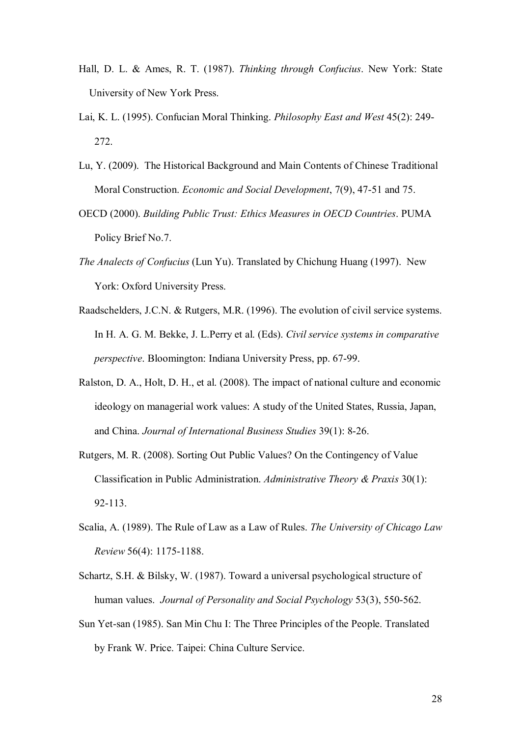- Hall, D. L. & Ames, R. T. (1987). *Thinking through Confucius*. New York: State University of New York Press.
- Lai, K. L. (1995). Confucian Moral Thinking. *Philosophy East and West* 45(2): 249- 272.
- Lu, Y. (2009). The Historical Background and Main Contents of Chinese Traditional Moral Construction. *Economic and Social Development*, 7(9), 47-51 and 75.
- OECD (2000). *Building Public Trust: Ethics Measures in OECD Countries*. PUMA Policy Brief No.7.
- *The Analects of Confucius* (Lun Yu). Translated by Chichung Huang (1997). New York: Oxford University Press.
- Raadschelders, J.C.N. & Rutgers, M.R. (1996). The evolution of civil service systems. In H. A. G. M. Bekke, J. L.Perry et al. (Eds). *Civil service systems in comparative perspective*. Bloomington: Indiana University Press, pp. 67-99.
- Ralston, D. A., Holt, D. H., et al. (2008). The impact of national culture and economic ideology on managerial work values: A study of the United States, Russia, Japan, and China. *Journal of International Business Studies* 39(1): 8-26.
- Rutgers, M. R. (2008). Sorting Out Public Values? On the Contingency of Value Classification in Public Administration. *Administrative Theory & Praxis* 30(1): 92-113.
- Scalia, A. (1989). The Rule of Law as a Law of Rules. *The University of Chicago Law Review* 56(4): 1175-1188.
- Schartz, S.H. & Bilsky, W. (1987). Toward a universal psychological structure of human values. *Journal of Personality and Social Psychology* 53(3), 550-562.
- Sun Yet-san (1985). San Min Chu I: The Three Principles of the People. Translated by Frank W. Price. Taipei: China Culture Service.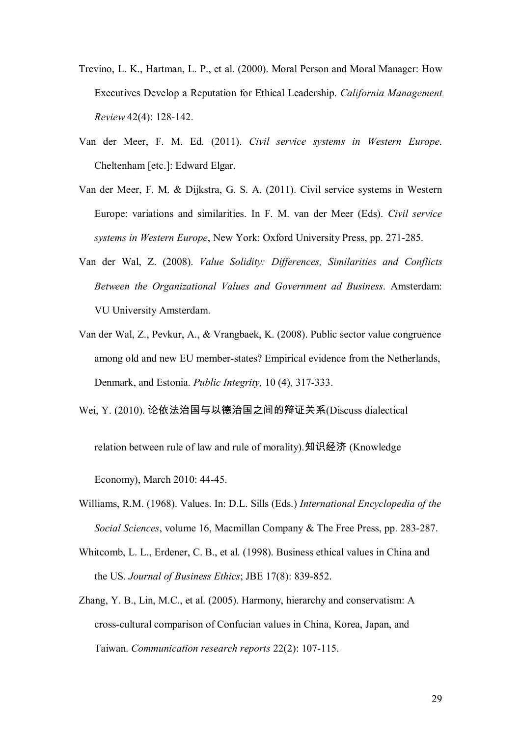- Trevino, L. K., Hartman, L. P., et al. (2000). Moral Person and Moral Manager: How Executives Develop a Reputation for Ethical Leadership. *California Management Review* 42(4): 128-142.
- Van der Meer, F. M. Ed. (2011). *Civil service systems in Western Europe*. Cheltenham [etc.]: Edward Elgar.
- Van der Meer, F. M. & Dijkstra, G. S. A. (2011). Civil service systems in Western Europe: variations and similarities. In F. M. van der Meer (Eds). *Civil service systems in Western Europe*, New York: Oxford University Press, pp. 271-285.
- Van der Wal, Z. (2008). *Value Solidity: Differences, Similarities and Conflicts Between the Organizational Values and Government ad Business*. Amsterdam: VU University Amsterdam.
- Van der Wal, Z., Pevkur, A., & Vrangbaek, K. (2008). Public sector value congruence among old and new EU member-states? Empirical evidence from the Netherlands, Denmark, and Estonia. *Public Integrity,* 10 (4), 317-333.
- Wei, Y. (2010). 论依法治国与以德治国之间的辩证关系(Discuss dialectical

relation between rule of law and rule of morality).知识经济 (Knowledge

Economy), March 2010: 44-45.

- Williams, R.M. (1968). Values. In: D.L. Sills (Eds.) *International Encyclopedia of the Social Sciences*, volume 16, Macmillan Company & The Free Press, pp. 283-287.
- Whitcomb, L. L., Erdener, C. B., et al. (1998). Business ethical values in China and the US. *Journal of Business Ethics*; JBE 17(8): 839-852.
- Zhang, Y. B., Lin, M.C., et al. (2005). Harmony, hierarchy and conservatism: A cross-cultural comparison of Confucian values in China, Korea, Japan, and Taiwan. *Communication research reports* 22(2): 107-115.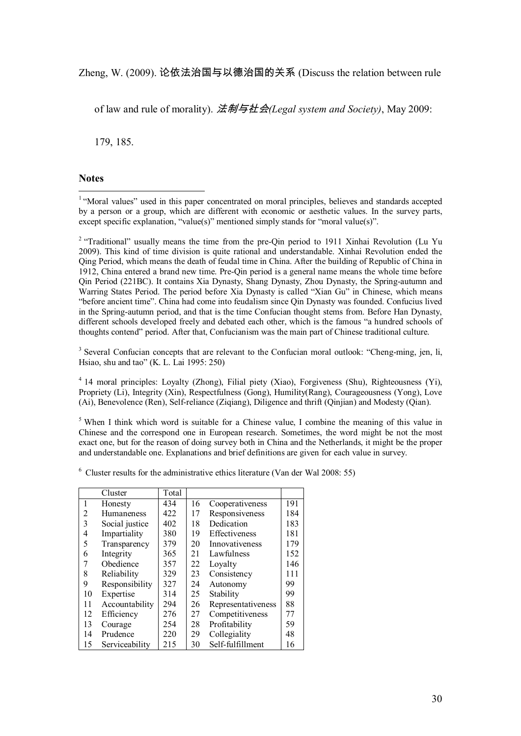Zheng, W. (2009). 论依法治国与以德治国的关系 (Discuss the relation between rule

of law and rule of morality). *法制与社会(Legal system and Society)*, May 2009:

179, 185.

#### **Notes**

<span id="page-29-0"></span><sup>1</sup> "Moral values" used in this paper concentrated on moral principles, believes and standards accepted by a person or a group, which are different with economic or aesthetic values. In the survey parts, except specific explanation, "value(s)" mentioned simply stands for "moral value(s)".

<span id="page-29-1"></span><sup>2</sup> "Traditional" usually means the time from the pre-Qin period to 1911 Xinhai Revolution (Lu Yu 2009). This kind of time division is quite rational and understandable. Xinhai Revolution ended the Qing Period, which means the death of feudal time in China. After the building of Republic of China in 1912, China entered a brand new time. Pre-Qin period is a general name means the whole time before Qin Period (221BC). It contains Xia Dynasty, Shang Dynasty, Zhou Dynasty, the Spring-autumn and Warring States Period. The period before Xia Dynasty is called "Xian Gu" in Chinese, which means "before ancient time". China had come into feudalism since Qin Dynasty was founded. Confucius lived in the Spring-autumn period, and that is the time Confucian thought stems from. Before Han Dynasty, different schools developed freely and debated each other, which is the famous "a hundred schools of thoughts contend" period. After that, Confucianism was the main part of Chinese traditional culture.

<span id="page-29-2"></span><sup>3</sup> Several Confucian concepts that are relevant to the Confucian moral outlook: "Cheng-ming, jen, li, Hsiao, shu and tao" (K. L. Lai 1995: 250)

<span id="page-29-3"></span><sup>4</sup> 14 moral principles: Loyalty (Zhong), Filial piety (Xiao), Forgiveness (Shu), Righteousness (Yi), Propriety (Li), Integrity (Xin), Respectfulness (Gong), Humility(Rang), Courageousness (Yong), Love (Ai), Benevolence (Ren), Self-reliance (Ziqiang), Diligence and thrift (Qinjian) and Modesty (Qian).

<span id="page-29-4"></span><sup>5</sup> When I think which word is suitable for a Chinese value, I combine the meaning of this value in Chinese and the correspond one in European research. Sometimes, the word might be not the most exact one, but for the reason of doing survey both in China and the Netherlands, it might be the proper and understandable one. Explanations and brief definitions are given for each value in survey.

<span id="page-29-5"></span> $6$  Cluster results for the administrative ethics literature (Van der Wal 2008: 55)

|    | Cluster           | Total |    |                    |     |
|----|-------------------|-------|----|--------------------|-----|
| 1  | Honesty           | 434   | 16 | Cooperativeness    | 191 |
| 2  | <b>Humaneness</b> | 422   | 17 | Responsiveness     | 184 |
| 3  | Social justice    | 402   | 18 | Dedication         | 183 |
| 4  | Impartiality      | 380   | 19 | Effectiveness      | 181 |
| 5  | Transparency      | 379   | 20 | Innovativeness     | 179 |
| 6  | Integrity         | 365   | 21 | Lawfulness         | 152 |
| 7  | Obedience         | 357   | 22 | Loyalty            | 146 |
| 8  | Reliability       | 329   | 23 | Consistency        | 111 |
| 9  | Responsibility    | 327   | 24 | Autonomy           | 99  |
| 10 | Expertise         | 314   | 25 | Stability          | 99  |
| 11 | Accountability    | 294   | 26 | Representativeness | 88  |
| 12 | Efficiency        | 276   | 27 | Competitiveness    | 77  |
| 13 | Courage           | 254   | 28 | Profitability      | 59  |
| 14 | Prudence          | 220   | 29 | Collegiality       | 48  |
| 15 | Serviceability    | 215   | 30 | Self-fulfillment   | 16  |